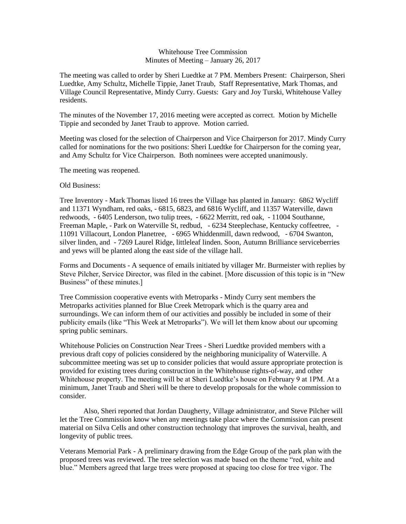## Whitehouse Tree Commission Minutes of Meeting – January 26, 2017

The meeting was called to order by Sheri Luedtke at 7 PM. Members Present: Chairperson, Sheri Luedtke, Amy Schultz, Michelle Tippie, Janet Traub, Staff Representative, Mark Thomas, and Village Council Representative, Mindy Curry. Guests: Gary and Joy Turski, Whitehouse Valley residents.

The minutes of the November 17, 2016 meeting were accepted as correct. Motion by Michelle Tippie and seconded by Janet Traub to approve. Motion carried.

Meeting was closed for the selection of Chairperson and Vice Chairperson for 2017. Mindy Curry called for nominations for the two positions: Sheri Luedtke for Chairperson for the coming year, and Amy Schultz for Vice Chairperson. Both nominees were accepted unanimously.

The meeting was reopened.

Old Business:

Tree Inventory - Mark Thomas listed 16 trees the Village has planted in January: 6862 Wycliff and 11371 Wyndham, red oaks, - 6815, 6823, and 6816 Wycliff, and 11357 Waterville, dawn redwoods, - 6405 Lenderson, two tulip trees, - 6622 Merritt, red oak, - 11004 Southanne, Freeman Maple, - Park on Waterville St, redbud, - 6234 Steeplechase, Kentucky coffeetree, - 11091 Villacourt, London Planetree, - 6965 Whiddenmill, dawn redwood, - 6704 Swanton, silver linden, and - 7269 Laurel Ridge, littleleaf linden. Soon, Autumn Brilliance serviceberries and yews will be planted along the east side of the village hall.

Forms and Documents - A sequence of emails initiated by villager Mr. Burmeister with replies by Steve Pilcher, Service Director, was filed in the cabinet. [More discussion of this topic is in "New Business" of these minutes.]

Tree Commission cooperative events with Metroparks - Mindy Curry sent members the Metroparks activities planned for Blue Creek Metropark which is the quarry area and surroundings. We can inform them of our activities and possibly be included in some of their publicity emails (like "This Week at Metroparks"). We will let them know about our upcoming spring public seminars.

Whitehouse Policies on Construction Near Trees - Sheri Luedtke provided members with a previous draft copy of policies considered by the neighboring municipality of Waterville. A subcommittee meeting was set up to consider policies that would assure appropriate protection is provided for existing trees during construction in the Whitehouse rights-of-way, and other Whitehouse property. The meeting will be at Sheri Luedtke's house on February 9 at 1PM. At a minimum, Janet Traub and Sheri will be there to develop proposals for the whole commission to consider.

Also, Sheri reported that Jordan Daugherty, Village administrator, and Steve Pilcher will let the Tree Commission know when any meetings take place where the Commission can present material on Silva Cells and other construction technology that improves the survival, health, and longevity of public trees.

Veterans Memorial Park - A preliminary drawing from the Edge Group of the park plan with the proposed trees was reviewed. The tree selection was made based on the theme "red, white and blue." Members agreed that large trees were proposed at spacing too close for tree vigor. The